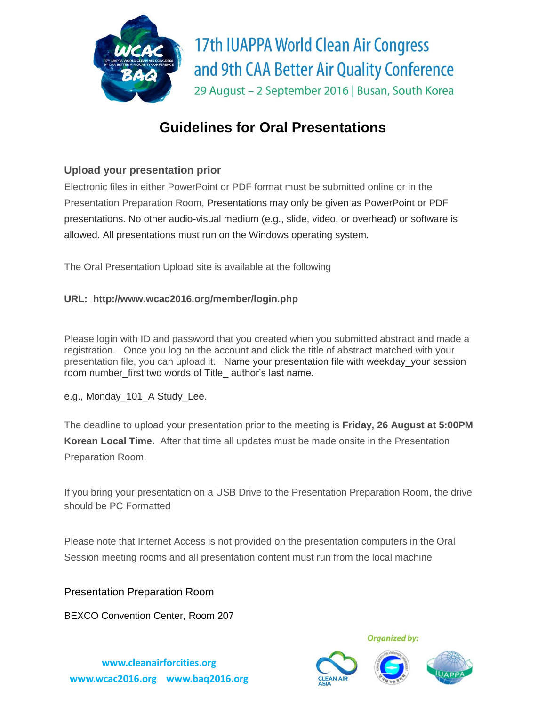

# **Guidelines for Oral Presentations**

## **Upload your presentation prior**

Electronic files in either PowerPoint or PDF format must be submitted online or in the Presentation Preparation Room, Presentations may only be given as PowerPoint or PDF presentations. No other audio-visual medium (e.g., slide, video, or overhead) or software is allowed. All presentations must run on the Windows operating system.

The Oral Presentation Upload site is available at the following

#### **URL: http://www.wcac2016.org/member/login.php**

Please login with ID and password that you created when you submitted abstract and made a registration. Once you log on the account and click the title of abstract matched with your presentation file, you can upload it. Name your presentation file with weekday\_your session room number\_first two words of Title\_ author's last name.

e.g., Monday\_101\_A Study\_Lee.

The deadline to upload your presentation prior to the meeting is **Friday, 26 August at 5:00PM Korean Local Time.** After that time all updates must be made onsite in the Presentation Preparation Room.

If you bring your presentation on a USB Drive to the Presentation Preparation Room, the drive should be PC Formatted

Please note that Internet Access is not provided on the presentation computers in the Oral Session meeting rooms and all presentation content must run from the local machine

Presentation Preparation Room

BEXCO Convention Center, Room 207

**www.cleanairforcities.org [www.wcac2016.org](http://www.wcac2016.org/) www.baq2016.org**





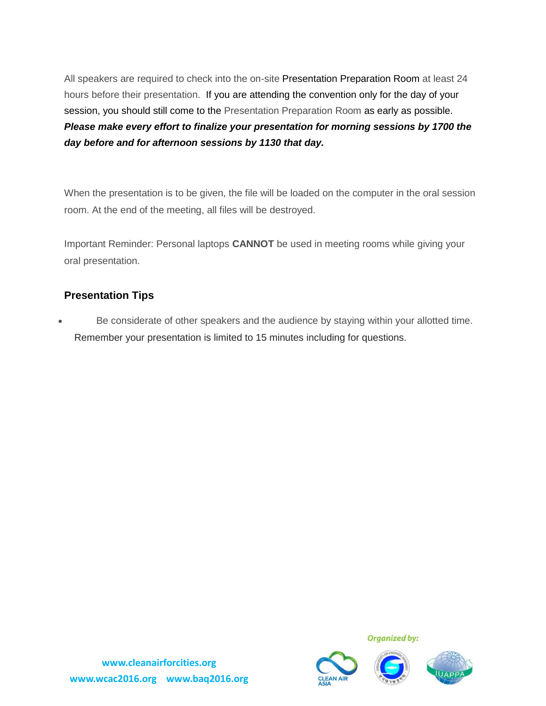All speakers are required to check into the on-site Presentation Preparation Room at least 24 hours before their presentation. If you are attending the convention only for the day of your session, you should still come to the Presentation Preparation Room as early as possible. *Please make every effort to finalize your presentation for morning sessions by 1700 the day before and for afternoon sessions by 1130 that day.*

When the presentation is to be given, the file will be loaded on the computer in the oral session room. At the end of the meeting, all files will be destroyed.

Important Reminder: Personal laptops **CANNOT** be used in meeting rooms while giving your oral presentation.

## **Presentation Tips**

 Be considerate of other speakers and the audience by staying within your allotted time. Remember your presentation is limited to 15 minutes including for questions.



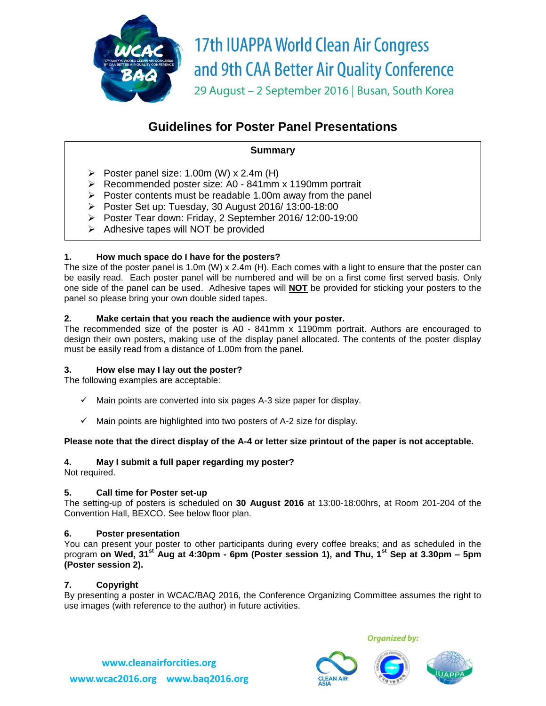

## **Guidelines for Poster Panel Presentations**

#### **Summary**

- Poster panel size: 1.00m (W) x 2.4m (H)
- Recommended poster size: A0 841mm x 1190mm portrait
- $\triangleright$  Poster contents must be readable 1.00m away from the panel
- $\triangleright$  Poster Set up: Tuesday, 30 August 2016/ 13:00-18:00
- Poster Tear down: Friday, 2 September 2016/12:00-19:00
- $\triangleright$  Adhesive tapes will NOT be provided

#### **1. How much space do I have for the posters?**

The size of the poster panel is 1.0m (W) x 2.4m (H). Each comes with a light to ensure that the poster can be easily read. Each poster panel will be numbered and will be on a first come first served basis. Only one side of the panel can be used. Adhesive tapes will **NOT** be provided for sticking your posters to the panel so please bring your own double sided tapes.

#### **2. Make certain that you reach the audience with your poster.**

The recommended size of the poster is A0 - 841mm x 1190mm portrait. Authors are encouraged to design their own posters, making use of the display panel allocated. The contents of the poster display must be easily read from a distance of 1.00m from the panel.

#### **3. How else may I lay out the poster?**

The following examples are acceptable:

- $\checkmark$  Main points are converted into six pages A-3 size paper for display.
- $\checkmark$  Main points are highlighted into two posters of A-2 size for display.

#### **Please note that the direct display of the A-4 or letter size printout of the paper is not acceptable.**

#### **4. May I submit a full paper regarding my poster?**

Not required.

#### **5. Call time for Poster set-up**

The setting-up of posters is scheduled on **30 August 2016** at 13:00-18:00hrs, at Room 201-204 of the Convention Hall, BEXCO. See below floor plan.

#### **6. Poster presentation**

You can present your poster to other participants during every coffee breaks; and as scheduled in the program **on Wed, 31st Aug at 4:30pm - 6pm (Poster session 1), and Thu, 1st Sep at 3.30pm – 5pm (Poster session 2).**

#### **7. Copyright**

By presenting a poster in WCAC/BAQ 2016, the Conference Organizing Committee assumes the right to use images (with reference to the author) in future activities.